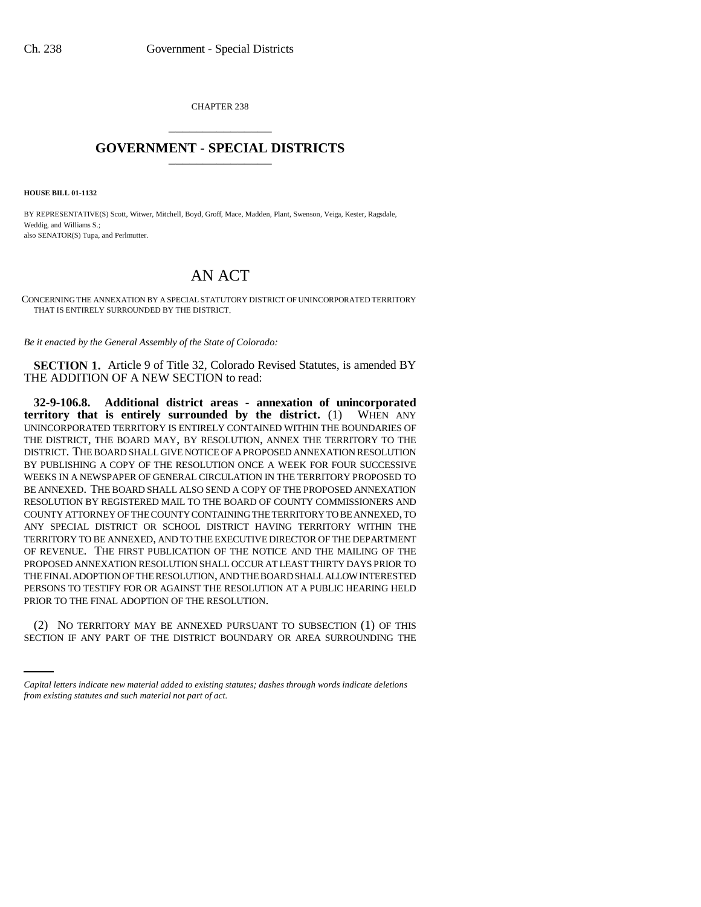CHAPTER 238 \_\_\_\_\_\_\_\_\_\_\_\_\_\_\_

## **GOVERNMENT - SPECIAL DISTRICTS** \_\_\_\_\_\_\_\_\_\_\_\_\_\_\_

**HOUSE BILL 01-1132**

BY REPRESENTATIVE(S) Scott, Witwer, Mitchell, Boyd, Groff, Mace, Madden, Plant, Swenson, Veiga, Kester, Ragsdale, Weddig, and Williams S.; also SENATOR(S) Tupa, and Perlmutter.

## AN ACT

CONCERNING THE ANNEXATION BY A SPECIAL STATUTORY DISTRICT OF UNINCORPORATED TERRITORY THAT IS ENTIRELY SURROUNDED BY THE DISTRICT.

*Be it enacted by the General Assembly of the State of Colorado:*

**SECTION 1.** Article 9 of Title 32, Colorado Revised Statutes, is amended BY THE ADDITION OF A NEW SECTION to read:

**32-9-106.8. Additional district areas - annexation of unincorporated territory that is entirely surrounded by the district.** (1) WHEN ANY UNINCORPORATED TERRITORY IS ENTIRELY CONTAINED WITHIN THE BOUNDARIES OF THE DISTRICT, THE BOARD MAY, BY RESOLUTION, ANNEX THE TERRITORY TO THE DISTRICT. THE BOARD SHALL GIVE NOTICE OF A PROPOSED ANNEXATION RESOLUTION BY PUBLISHING A COPY OF THE RESOLUTION ONCE A WEEK FOR FOUR SUCCESSIVE WEEKS IN A NEWSPAPER OF GENERAL CIRCULATION IN THE TERRITORY PROPOSED TO BE ANNEXED. THE BOARD SHALL ALSO SEND A COPY OF THE PROPOSED ANNEXATION RESOLUTION BY REGISTERED MAIL TO THE BOARD OF COUNTY COMMISSIONERS AND COUNTY ATTORNEY OF THE COUNTY CONTAINING THE TERRITORY TO BE ANNEXED, TO ANY SPECIAL DISTRICT OR SCHOOL DISTRICT HAVING TERRITORY WITHIN THE TERRITORY TO BE ANNEXED, AND TO THE EXECUTIVE DIRECTOR OF THE DEPARTMENT OF REVENUE. THE FIRST PUBLICATION OF THE NOTICE AND THE MAILING OF THE PROPOSED ANNEXATION RESOLUTION SHALL OCCUR AT LEAST THIRTY DAYS PRIOR TO THE FINAL ADOPTION OF THE RESOLUTION, AND THE BOARD SHALL ALLOW INTERESTED PERSONS TO TESTIFY FOR OR AGAINST THE RESOLUTION AT A PUBLIC HEARING HELD PRIOR TO THE FINAL ADOPTION OF THE RESOLUTION.

(2) NO TERRITORY MAY BE ANNEXED PURSUANT TO SUBSECTION (1) OF THIS SECTION IF ANY PART OF THE DISTRICT BOUNDARY OR AREA SURROUNDING THE

*Capital letters indicate new material added to existing statutes; dashes through words indicate deletions from existing statutes and such material not part of act.*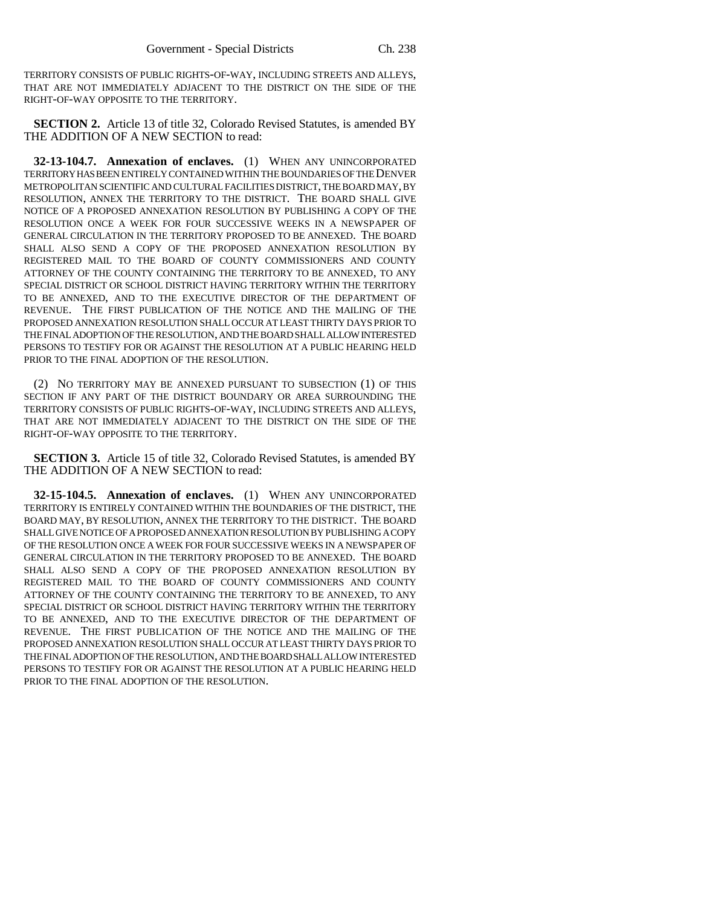TERRITORY CONSISTS OF PUBLIC RIGHTS-OF-WAY, INCLUDING STREETS AND ALLEYS, THAT ARE NOT IMMEDIATELY ADJACENT TO THE DISTRICT ON THE SIDE OF THE RIGHT-OF-WAY OPPOSITE TO THE TERRITORY.

**SECTION 2.** Article 13 of title 32, Colorado Revised Statutes, is amended BY THE ADDITION OF A NEW SECTION to read:

**32-13-104.7. Annexation of enclaves.** (1) WHEN ANY UNINCORPORATED TERRITORY HAS BEEN ENTIRELY CONTAINED WITHIN THE BOUNDARIES OF THE DENVER METROPOLITAN SCIENTIFIC AND CULTURAL FACILITIES DISTRICT, THE BOARD MAY, BY RESOLUTION, ANNEX THE TERRITORY TO THE DISTRICT. THE BOARD SHALL GIVE NOTICE OF A PROPOSED ANNEXATION RESOLUTION BY PUBLISHING A COPY OF THE RESOLUTION ONCE A WEEK FOR FOUR SUCCESSIVE WEEKS IN A NEWSPAPER OF GENERAL CIRCULATION IN THE TERRITORY PROPOSED TO BE ANNEXED. THE BOARD SHALL ALSO SEND A COPY OF THE PROPOSED ANNEXATION RESOLUTION BY REGISTERED MAIL TO THE BOARD OF COUNTY COMMISSIONERS AND COUNTY ATTORNEY OF THE COUNTY CONTAINING THE TERRITORY TO BE ANNEXED, TO ANY SPECIAL DISTRICT OR SCHOOL DISTRICT HAVING TERRITORY WITHIN THE TERRITORY TO BE ANNEXED, AND TO THE EXECUTIVE DIRECTOR OF THE DEPARTMENT OF REVENUE. THE FIRST PUBLICATION OF THE NOTICE AND THE MAILING OF THE PROPOSED ANNEXATION RESOLUTION SHALL OCCUR AT LEAST THIRTY DAYS PRIOR TO THE FINAL ADOPTION OF THE RESOLUTION, AND THE BOARD SHALL ALLOW INTERESTED PERSONS TO TESTIFY FOR OR AGAINST THE RESOLUTION AT A PUBLIC HEARING HELD PRIOR TO THE FINAL ADOPTION OF THE RESOLUTION.

(2) NO TERRITORY MAY BE ANNEXED PURSUANT TO SUBSECTION (1) OF THIS SECTION IF ANY PART OF THE DISTRICT BOUNDARY OR AREA SURROUNDING THE TERRITORY CONSISTS OF PUBLIC RIGHTS-OF-WAY, INCLUDING STREETS AND ALLEYS, THAT ARE NOT IMMEDIATELY ADJACENT TO THE DISTRICT ON THE SIDE OF THE RIGHT-OF-WAY OPPOSITE TO THE TERRITORY.

**SECTION 3.** Article 15 of title 32, Colorado Revised Statutes, is amended BY THE ADDITION OF A NEW SECTION to read:

**32-15-104.5. Annexation of enclaves.** (1) WHEN ANY UNINCORPORATED TERRITORY IS ENTIRELY CONTAINED WITHIN THE BOUNDARIES OF THE DISTRICT, THE BOARD MAY, BY RESOLUTION, ANNEX THE TERRITORY TO THE DISTRICT. THE BOARD SHALL GIVE NOTICE OF A PROPOSED ANNEXATION RESOLUTION BY PUBLISHING A COPY OF THE RESOLUTION ONCE A WEEK FOR FOUR SUCCESSIVE WEEKS IN A NEWSPAPER OF GENERAL CIRCULATION IN THE TERRITORY PROPOSED TO BE ANNEXED. THE BOARD SHALL ALSO SEND A COPY OF THE PROPOSED ANNEXATION RESOLUTION BY REGISTERED MAIL TO THE BOARD OF COUNTY COMMISSIONERS AND COUNTY ATTORNEY OF THE COUNTY CONTAINING THE TERRITORY TO BE ANNEXED, TO ANY SPECIAL DISTRICT OR SCHOOL DISTRICT HAVING TERRITORY WITHIN THE TERRITORY TO BE ANNEXED, AND TO THE EXECUTIVE DIRECTOR OF THE DEPARTMENT OF REVENUE. THE FIRST PUBLICATION OF THE NOTICE AND THE MAILING OF THE PROPOSED ANNEXATION RESOLUTION SHALL OCCUR AT LEAST THIRTY DAYS PRIOR TO THE FINAL ADOPTION OF THE RESOLUTION, AND THE BOARD SHALL ALLOW INTERESTED PERSONS TO TESTIFY FOR OR AGAINST THE RESOLUTION AT A PUBLIC HEARING HELD PRIOR TO THE FINAL ADOPTION OF THE RESOLUTION.